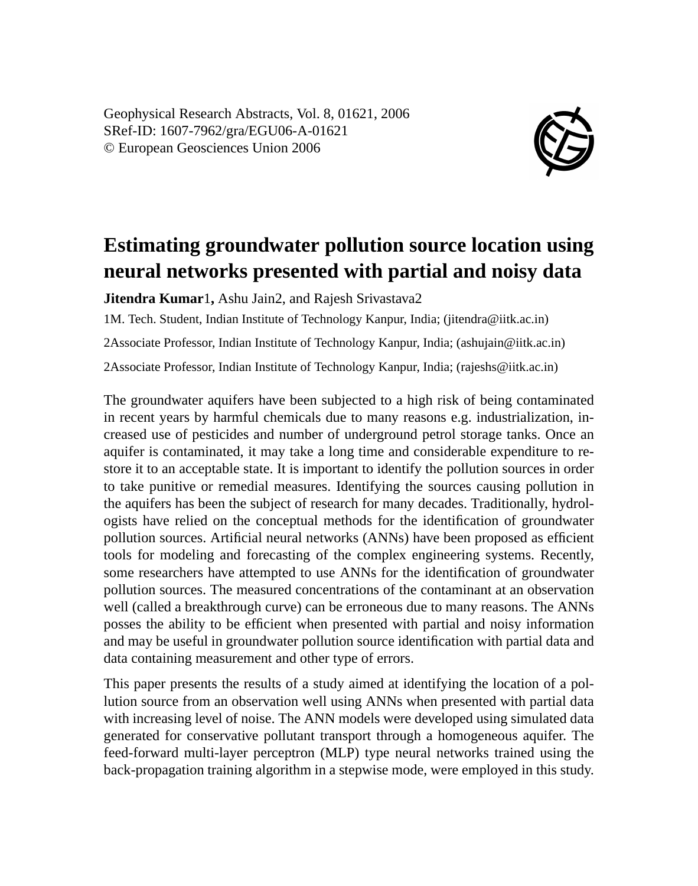Geophysical Research Abstracts, Vol. 8, 01621, 2006 SRef-ID: 1607-7962/gra/EGU06-A-01621 © European Geosciences Union 2006



## **Estimating groundwater pollution source location using neural networks presented with partial and noisy data**

**Jitendra Kumar**1**,** Ashu Jain2, and Rajesh Srivastava2

1M. Tech. Student, Indian Institute of Technology Kanpur, India; (jitendra@iitk.ac.in)

2Associate Professor, Indian Institute of Technology Kanpur, India; (ashujain@iitk.ac.in)

2Associate Professor, Indian Institute of Technology Kanpur, India; (rajeshs@iitk.ac.in)

The groundwater aquifers have been subjected to a high risk of being contaminated in recent years by harmful chemicals due to many reasons e.g. industrialization, increased use of pesticides and number of underground petrol storage tanks. Once an aquifer is contaminated, it may take a long time and considerable expenditure to restore it to an acceptable state. It is important to identify the pollution sources in order to take punitive or remedial measures. Identifying the sources causing pollution in the aquifers has been the subject of research for many decades. Traditionally, hydrologists have relied on the conceptual methods for the identification of groundwater pollution sources. Artificial neural networks (ANNs) have been proposed as efficient tools for modeling and forecasting of the complex engineering systems. Recently, some researchers have attempted to use ANNs for the identification of groundwater pollution sources. The measured concentrations of the contaminant at an observation well (called a breakthrough curve) can be erroneous due to many reasons. The ANNs posses the ability to be efficient when presented with partial and noisy information and may be useful in groundwater pollution source identification with partial data and data containing measurement and other type of errors.

This paper presents the results of a study aimed at identifying the location of a pollution source from an observation well using ANNs when presented with partial data with increasing level of noise. The ANN models were developed using simulated data generated for conservative pollutant transport through a homogeneous aquifer. The feed-forward multi-layer perceptron (MLP) type neural networks trained using the back-propagation training algorithm in a stepwise mode, were employed in this study.